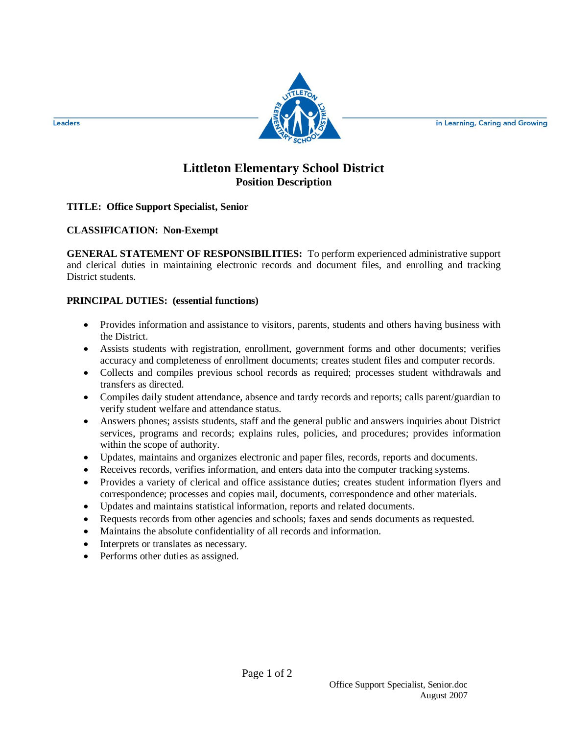in Learning, Caring and Growing



Leaders

# **Littleton Elementary School District Position Description**

## **TITLE: Office Support Specialist, Senior**

## **CLASSIFICATION: Non-Exempt**

**GENERAL STATEMENT OF RESPONSIBILITIES:** To perform experienced administrative support and clerical duties in maintaining electronic records and document files, and enrolling and tracking District students.

#### **PRINCIPAL DUTIES: (essential functions)**

- Provides information and assistance to visitors, parents, students and others having business with the District.
- Assists students with registration, enrollment, government forms and other documents; verifies accuracy and completeness of enrollment documents; creates student files and computer records.
- Collects and compiles previous school records as required; processes student withdrawals and transfers as directed.
- Compiles daily student attendance, absence and tardy records and reports; calls parent/guardian to verify student welfare and attendance status.
- Answers phones; assists students, staff and the general public and answers inquiries about District services, programs and records; explains rules, policies, and procedures; provides information within the scope of authority.
- Updates, maintains and organizes electronic and paper files, records, reports and documents.
- Receives records, verifies information, and enters data into the computer tracking systems.
- Provides a variety of clerical and office assistance duties; creates student information flyers and correspondence; processes and copies mail, documents, correspondence and other materials.
- Updates and maintains statistical information, reports and related documents.
- Requests records from other agencies and schools; faxes and sends documents as requested.
- Maintains the absolute confidentiality of all records and information.
- Interprets or translates as necessary.
- Performs other duties as assigned.